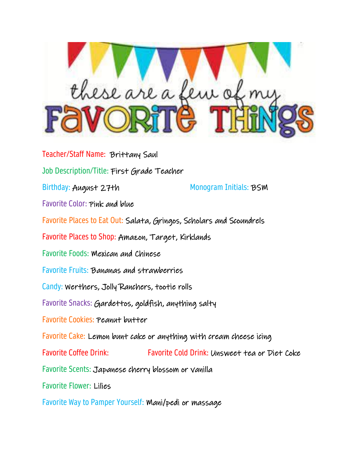

Teacher/Staff Name: Brittany Saul Job Description/Title: First Grade Teacher Birthday: August 27th Monogram Initials: BSM Favorite Color: Pink and blue Favorite Places to Eat Out: Salata, Gringos, Scholars and Scoundrels Favorite Places to Shop: Amazon, Target, Kirklands Favorite Foods: Mexican and Chinese Favorite Fruits: Bananas and strawberries Candy: Werthers, Jolly Ranchers, tootie rolls Favorite Snacks: Gardettos, goldfish, anything salty Favorite Cookies: Peanut butter Favorite Cake: Lemon bunt cake or anything with cream cheese icing Favorite Coffee Drink: Favorite Cold Drink: Unsweet tea or Diet Coke Favorite Scents: Japanese cherry blossom or vanilla Favorite Flower: Lilies Favorite Way to Pamper Yourself: Mani/pedi or massage